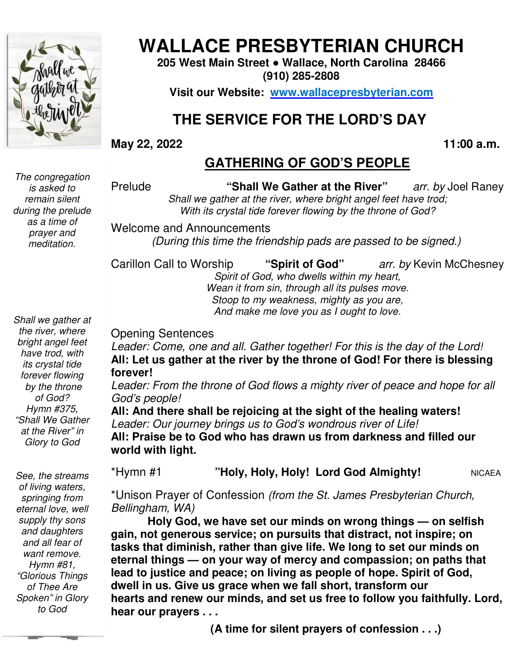

# **WALLACE PRESBYTERIAN CHURCH**

**205 West Main Street Street ● Wallace, North Carolina 28466 (910) 285-2808** 

**Visit our Website: www.wallacepresbyterian.com**

# **THE SERVICE FOR THE LORD'S DAY THE**

#### **May 22, 2022**

**, 2022 11:00 a.m.**

## **GATHERING OF GOD'S PEOPLE**

*The congregation is asked to remain silent during the prelude as a time of prayer and meditation.* 

Prelude **"Shall We Gather at the River"** *Shall we gather at the river, where bright angel feet have trod gather trod;* With its crystal tide forever flowing by the throne of God? arr. by Joel Raney

Welcome and Announcements and Announcements *(During this time the friendship pads are (During time the passed to be signed.)*

Carillon Call to Worship Worship **"Spirit of God"** *arr. by* Kevin McChesne McChesney

*Spirit of God, who dwells within my heart heart,* Wean it from sin, through all its pulses move. *Stoop to my weakness, mighty as you are,* And make me love you as I ought to love.

*Shall we gather at the river, where bright angel feet have trod, with its crystal tide forever flowing by the throne of God? Hymn #375, "Shall We Gather at the River" in Glory to God* 

 *"Glorious Things See, the streams of living waters, springing from eternal love, well supply thy sons and daughters and all fear of want remove. Hymn #81, of Thee Are Spoken" in Glory to God* 

Opening Sentences

Leader: Come, one and all. Gather together! For this is the day of the Lord! All: Let us gather at the river by the throne of God! For there is blessing **forever!**

Leader: From the throne of God flows a mighty river of peace and hope for all *God's people!*

All: And there shall be rejoicing at the sight of the healing waters! Leader: Our journey brings us to God's wondrous river of Life! **All: Praise be to God who has drawn us from darkness and filled our be has world with light. y** the throne of God! For there<br>flows a mighty river of peace and<br>**g** at the sight of the healing wa<br>God's wondrous river of Life!<br>**drawn us from darkness and fi** 

\*Hymn #1 **"Holy, Holy, Holy! Lord God Almighty!** 

NICAEA

\*Unison Prayer of Confession (from the St. James Presbyterian Church, *Bellingham, WA)*

**Holy God, we have set our minds on wrong things God, our things — on selfish gain, not generous service; on pursuits that distract, not inspire; on tasks that diminish, rather than give life. We long to set our minds on**  gain, not generous service; on pursuits that distract, not inspire; on<br>tasks that diminish, rather than give life. We long to set our minds on<br>eternal things — on your way of mercy and compassion; on paths that **lead to justice and peace; on living as people of hope. Spirit of God, dwell in us. Give us grace when we fall short, transform our hearts and renew our minds, and set us free to follow you faithfully. Lord, hear our prayers . . . peace of the River** at the **Fiver** and **PC** and **PC** and **PC** and **PC** and **PC** and *PC* and Amouncements<br>
With its crystal tide forever flowing by the throne of God?<br>
(During this time the friendship pads are passed to b not generous service; on pursuits that distract, not inspire; on<br>that diminish, rather than give life. We long to set our minds or<br>al things — on your way of mercy and compassion; on paths th<br>o justice and peace; on living

**(A time for silent prayers of confession . . .)**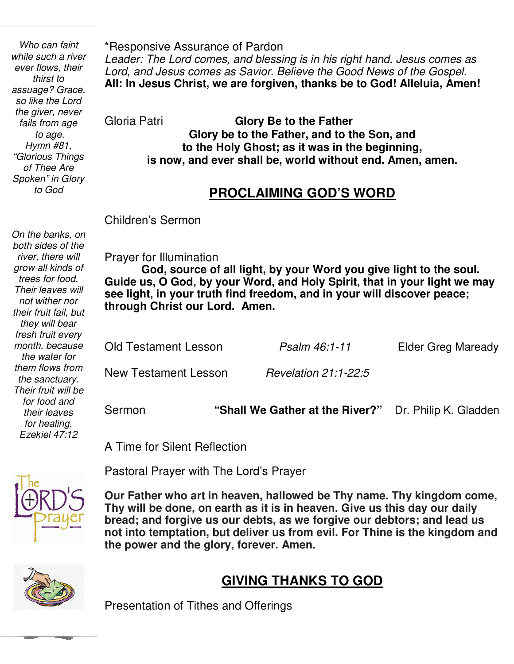Í  *fails from age Who can faint while such a river ever flows, their thirst to assuage? Grace, so like the Lord the giver, never to age. Hymn #81, "Glorious Things of Thee Are Spoken" in Glory to God* 

 *not wither nor* 

*their fruit fail, but they will bear fresh fruit every month, because the water for them flows from the sanctuary. Their fruit will be for food and their leaves for healing. Ezekiel 47:12* 

*On the banks, on both sides of the river, there will grow all kinds of trees for food. Their leaves will* 

\*Responsive Assurance of Pardon *Leader: The Lord comes, and blessing is in his right hand. Jesus comes as Lord, and Jesus comes as Savior. Believe the Good News of the Gospel.* **All: In Jesus Christ, we are forgiven, thanks be to God! Alleluia, Amen!** 

Gloria Patri **Glory Be to the Father Glory be to the Father, and to the Son, and to the Holy Ghost; as it was in the beginning, is now, and ever shall be, world without end. Amen, amen.** 

### **PROCLAIMING GOD'S WORD**

Children's Sermon

Prayer for Illumination

 **Guide us, O God, by your Word, and Holy Spirit, that in your light we may God, source of all light, by your Word you give light to the soul. see light, in your truth find freedom, and in your will discover peace; through Christ our Lord. Amen.** 

| <b>Old Testament Lesson</b> | Psalm 46:1-11        | Elder Greg Maready |
|-----------------------------|----------------------|--------------------|
| New Testament Lesson        | Revelation 21:1-22:5 |                    |
|                             |                      |                    |

Sermon **"Shall We Gather at the River?"** Dr. Philip K. Gladden

A Time for Silent Reflection



Pastoral Prayer with The Lord's Prayer

 **Thy will be done, on earth as it is in heaven. Give us this day our daily Our Father who art in heaven, hallowed be Thy name. Thy kingdom come, bread; and forgive us our debts, as we forgive our debtors; and lead us not into temptation, but deliver us from evil. For Thine is the kingdom and the power and the glory, forever. Amen.** 



## **GIVING THANKS TO GOD**

Presentation of Tithes and Offerings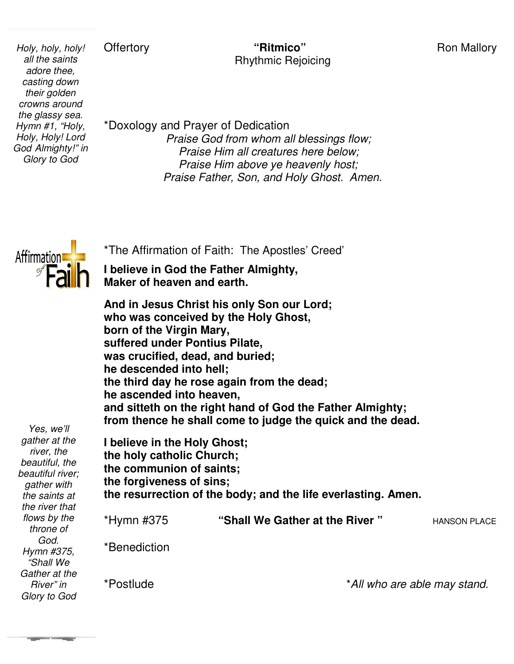### **Ron Mallory**

**Offertory** 

 *their golden Holy, holy, holy! all the saints adore thee, casting down crowns around the glassy sea. Hymn #1, "Holy, Holy, Holy! Lord God Almighty!" in Glory to God* 

*IIy!* Offertory **1998**<br> **Ritmico**" **Ritmico**" Ron Mallor<br>
Rhythmic Rejoicing<br>
Phythmic Rejoicing<br>
Phythmic Rejoicing<br>
Phythmic Rejoicing Rhythmic Rejoicing

\*Doxology and Prayer of Dedication Dedication *Praise God from whom all blessings flow; Praise Him all creatures here below; Praise Him above ye heavenly host;*  Praise Him all creatures here below;<br>Praise Him above ye heavenly host;<br>Praise Father, Son, and Holy Ghost. Amen.



\*The Affirmation of Faith: The Apostles' Creed'

**I believe in God the Father Almighty, Maker of heaven and earth.**

**And in Jesus Christ his only Son our Lord; who was conceived by the Holy Ghost, born of the Virgin Mary, suffered under Pontius Pilate, was crucified, dead, and buried; he descended into hell;** Maker of heaven and earth.<br>And in Jesus Christ his only Son our Lord;<br>who was conceived by the Holy Ghost,<br>born of the Virgin Mary,<br>suffered under Pontius Pilate,<br>was crucified, dead, and buried;<br>he descended into hell;<br>th **he ascended into heaven, and sitteth on the right hand of God the Father Almighty; from thence he shall come to judge the quick and the dead.**

*Yes, we'll gather at the river, the beautiful, the beautiful river; gather with the saints at the river that flows by the throne of God. Hymn #375, "Shall We Gather at the River" in Glory to God*

\*Postlude

| he ascended into heaven,                                                                                                                                                           | and sitteth on the right hand of God the Father Almighty;<br>from thence he shall come to judge the quick and the dead. |              |
|------------------------------------------------------------------------------------------------------------------------------------------------------------------------------------|-------------------------------------------------------------------------------------------------------------------------|--------------|
| I believe in the Holy Ghost;<br>the holy catholic Church;<br>the communion of saints;<br>the forgiveness of sins;<br>the resurrection of the body; and the life everlasting. Amen. |                                                                                                                         |              |
| *Hymn #375                                                                                                                                                                         | "Shall We Gather at the River"                                                                                          | HANSON PLACE |
| *Benediction                                                                                                                                                                       |                                                                                                                         |              |
|                                                                                                                                                                                    |                                                                                                                         |              |

\**All who are able may stand.*